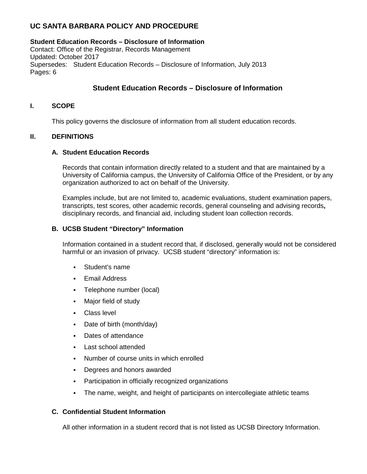# **UC SANTA BARBARA POLICY AND PROCEDURE**

# **Student Education Records – Disclosure of Information**

Contact: Office of the Registrar, Records Management Updated: October 2017 Supersedes: Student Education Records – Disclosure of Information, July 2013 Pages: 6

# **Student Education Records – Disclosure of Information**

# **I. SCOPE**

This policy governs the disclosure of information from all student education records.

# **II. DEFINITIONS**

# **A. Student Education Records**

Records that contain information directly related to a student and that are maintained by a University of California campus, the University of California Office of the President, or by any organization authorized to act on behalf of the University.

Examples include, but are not limited to, academic evaluations, student examination papers, transcripts, test scores, other academic records, general counseling and advising records**,**  disciplinary records, and financial aid, including student loan collection records.

# **B. UCSB Student "Directory" Information**

Information contained in a student record that, if disclosed, generally would not be considered harmful or an invasion of privacy. UCSB student "directory" information is:

- Student's name
- **Email Address**
- Telephone number (local)
- Major field of study
- **Class level**
- Date of birth (month/day)
- Dates of attendance
- **Last school attended**
- Number of course units in which enrolled
- Degrees and honors awarded
- Participation in officially recognized organizations
- The name, weight, and height of participants on intercollegiate athletic teams

# **C. Confidential Student Information**

All other information in a student record that is not listed as UCSB Directory Information.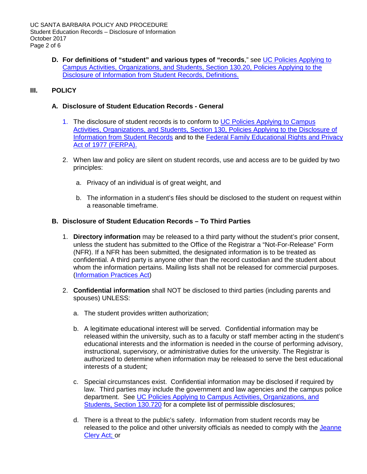**D. For definitions of "student" and various types of "records**," see [UC Policies Applying to](http://policy.ucop.edu/doc/2710533/PACAOS-130)  [Campus Activities, Organizations, and Students, Section 130.20, Policies Applying to the](http://policy.ucop.edu/doc/2710533/PACAOS-130)  [Disclosure of Information from Student Records, Definitions.](http://policy.ucop.edu/doc/2710533/PACAOS-130)

# **III. POLICY**

# **A. Disclosure of Student Education Records - General**

- 1. The disclosure of student records is to conform to [UC Policies Applying to Campus](http://policy.ucop.edu/doc/2710533/PACAOS-130)  [Activities, Organizations, and Students, Section 130, Policies Applying to the Disclosure of](http://policy.ucop.edu/doc/2710533/PACAOS-130)  [Information from Student Records](http://policy.ucop.edu/doc/2710533/PACAOS-130) and to the [Federal Family Educational Rights and Privacy](http://www.ed.gov/policy/gen/guid/fpco/ferpa/index.html)  [Act of 1977 \(FERPA\).](http://www.ed.gov/policy/gen/guid/fpco/ferpa/index.html)
- 2. When law and policy are silent on student records, use and access are to be guided by two principles:
	- a. Privacy of an individual is of great weight, and
	- b. The information in a student's files should be disclosed to the student on request within a reasonable timeframe.

# **B. Disclosure of Student Education Records – To Third Parties**

- 1. **Directory information** may be released to a third party without the student's prior consent, unless the student has submitted to the Office of the Registrar a "Not-For-Release" Form (NFR). If a NFR has been submitted, the designated information is to be treated as confidential. A third party is anyone other than the record custodian and the student about whom the information pertains. Mailing lists shall not be released for commercial purposes. [\(Information Practices Act\)](http://www.dhcs.ca.gov/formsandpubs/laws/priv/Pages/StateInformationPracticesAct.aspx)
- 2. **Confidential information** shall NOT be disclosed to third parties (including parents and spouses) UNLESS:
	- a. The student provides written authorization;
	- b. A legitimate educational interest will be served. Confidential information may be released within the university, such as to a faculty or staff member acting in the student's educational interests and the information is needed in the course of performing advisory, instructional, supervisory, or administrative duties for the university. The Registrar is authorized to determine when information may be released to serve the best educational interests of a student;
	- c. Special circumstances exist. Confidential information may be disclosed if required by law. Third parties may include the government and law agencies and the campus police department. See [UC Policies Applying to Campus Activities, Organizations, and](http://policy.ucop.edu/doc/2710533/PACAOS-130)  [Students, Section 130.720](http://policy.ucop.edu/doc/2710533/PACAOS-130) for a complete list of permissible disclosures;
	- d. There is a threat to the public's safety. Information from student records may be released to the police and other university officials as needed to comply with the Jeanne [Clery Act;](http://www.leginfo.ca.gov/) or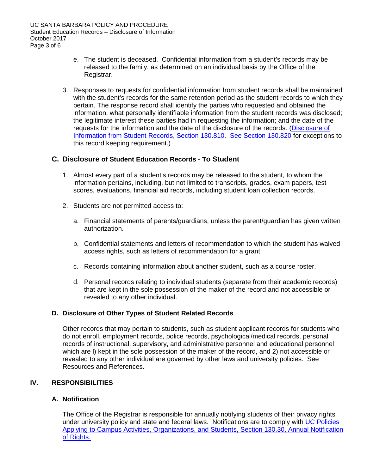- e. The student is deceased. Confidential information from a student's records may be released to the family, as determined on an individual basis by the Office of the Registrar.
- 3. Responses to requests for confidential information from student records shall be maintained with the student's records for the same retention period as the student records to which they pertain. The response record shall identify the parties who requested and obtained the information, what personally identifiable information from the student records was disclosed; the legitimate interest these parties had in requesting the information; and the date of the requests for the information and the date of the disclosure of the records. [\(Disclosure of](http://policy.ucop.edu/doc/2710533/PACAOS-130)  [Information from Student Records, Section 130.810. See Section 130.820](http://policy.ucop.edu/doc/2710533/PACAOS-130) for exceptions to this record keeping requirement.)

# **C. Disclosure of Student Education Records - To Student**

- 1. Almost every part of a student's records may be released to the student, to whom the information pertains, including, but not limited to transcripts, grades, exam papers, test scores, evaluations, financial aid records, including student loan collection records.
- 2. Students are not permitted access to:
	- a. Financial statements of parents/guardians, unless the parent/guardian has given written authorization.
	- b. Confidential statements and letters of recommendation to which the student has waived access rights, such as letters of recommendation for a grant.
	- c. Records containing information about another student, such as a course roster.
	- d. Personal records relating to individual students (separate from their academic records) that are kept in the sole possession of the maker of the record and not accessible or revealed to any other individual.

#### **D. Disclosure of Other Types of Student Related Records**

Other records that may pertain to students, such as student applicant records for students who do not enroll, employment records, police records, psychological/medical records, personal records of instructional, supervisory, and administrative personnel and educational personnel which are l) kept in the sole possession of the maker of the record, and 2) not accessible or revealed to any other individual are governed by other laws and university policies. See Resources and References.

#### **IV. RESPONSIBILITIES**

### **A. Notification**

The Office of the Registrar is responsible for annually notifying students of their privacy rights under university policy and state and federal laws. Notifications are to comply with [UC Policies](http://policy.ucop.edu/doc/2710533/PACAOS-130)  [Applying to Campus Activities, Organizations, and Students, Section 130.30, Annual Notification](http://policy.ucop.edu/doc/2710533/PACAOS-130)  [of Rights.](http://policy.ucop.edu/doc/2710533/PACAOS-130)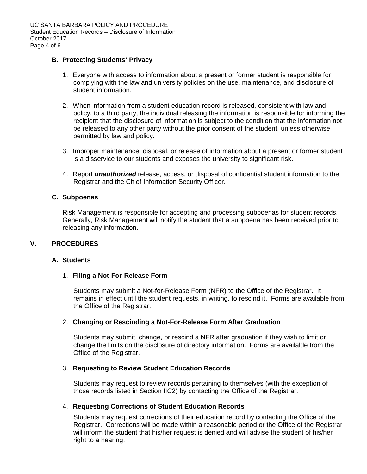### **B. Protecting Students' Privacy**

- 1. Everyone with access to information about a present or former student is responsible for complying with the law and university policies on the use, maintenance, and disclosure of student information.
- 2. When information from a student education record is released, consistent with law and policy, to a third party, the individual releasing the information is responsible for informing the recipient that the disclosure of information is subject to the condition that the information not be released to any other party without the prior consent of the student, unless otherwise permitted by law and policy.
- 3. Improper maintenance, disposal, or release of information about a present or former student is a disservice to our students and exposes the university to significant risk.
- 4. Report *unauthorized* release, access, or disposal of confidential student information to the Registrar and the Chief Information Security Officer.

### **C. Subpoenas**

Risk Management is responsible for accepting and processing subpoenas for student records. Generally, Risk Management will notify the student that a subpoena has been received prior to releasing any information.

# **V. PROCEDURES**

#### **A. Students**

#### 1. **Filing a Not-For-Release Form**

Students may submit a Not-for-Release Form (NFR) to the Office of the Registrar. It remains in effect until the student requests, in writing, to rescind it. Forms are available from the Office of the Registrar.

#### 2. **Changing or Rescinding a Not-For-Release Form After Graduation**

Students may submit, change, or rescind a NFR after graduation if they wish to limit or change the limits on the disclosure of directory information. Forms are available from the Office of the Registrar.

#### 3. **Requesting to Review Student Education Records**

Students may request to review records pertaining to themselves (with the exception of those records listed in Section IIC2) by contacting the Office of the Registrar.

#### 4. **Requesting Corrections of Student Education Records**

Students may request corrections of their education record by contacting the Office of the Registrar. Corrections will be made within a reasonable period or the Office of the Registrar will inform the student that his/her request is denied and will advise the student of his/her right to a hearing.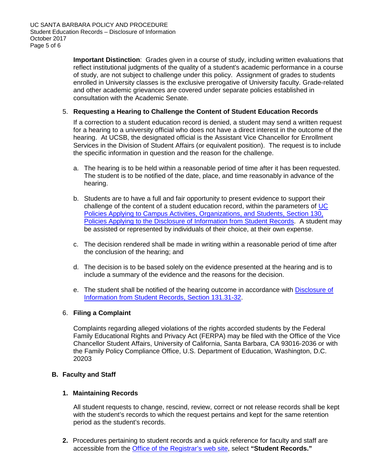**Important Distinction**: Grades given in a course of study, including written evaluations that reflect institutional judgments of the quality of a student's academic performance in a course of study, are not subject to challenge under this policy. Assignment of grades to students enrolled in University classes is the exclusive prerogative of University faculty. Grade-related and other academic grievances are covered under separate policies established in consultation with the Academic Senate.

# 5. **Requesting a Hearing to Challenge the Content of Student Education Records**

If a correction to a student education record is denied, a student may send a written request for a hearing to a university official who does not have a direct interest in the outcome of the hearing. At UCSB, the designated official is the Assistant Vice Chancellor for Enrollment Services in the Division of Student Affairs (or equivalent position). The request is to include the specific information in question and the reason for the challenge.

- a. The hearing is to be held within a reasonable period of time after it has been requested. The student is to be notified of the date, place, and time reasonably in advance of the hearing.
- b. Students are to have a full and fair opportunity to present evidence to support their challenge of the content of a student education record, within the parameters of [UC](http://www.ucop.edu/ucophome/coordrev/ucpolicies/aos/toc130.html)  [Policies Applying to Campus Activities, Organizations, and Students, Section 130,](http://www.ucop.edu/ucophome/coordrev/ucpolicies/aos/toc130.html)  [Policies Applying to the Disclosure of Information from Student Records.](http://www.ucop.edu/ucophome/coordrev/ucpolicies/aos/toc130.html) A student may be assisted or represented by individuals of their choice, at their own expense.
- c. The decision rendered shall be made in writing within a reasonable period of time after the conclusion of the hearing; and
- d. The decision is to be based solely on the evidence presented at the hearing and is to include a summary of the evidence and the reasons for the decision.
- e. The student shall be notified of the hearing outcome in accordance with [Disclosure of](http://policy.ucop.edu/doc/2710533/PACAOS-130)  [Information from Student Records,](http://policy.ucop.edu/doc/2710533/PACAOS-130) Section 131.31-32.

# 6. **Filing a Complaint**

Complaints regarding alleged violations of the rights accorded students by the Federal Family Educational Rights and Privacy Act (FERPA) may be filed with the Office of the Vice Chancellor Student Affairs, University of California, Santa Barbara, CA 93016-2036 or with the Family Policy Compliance Office, U.S. Department of Education, Washington, D.C. 20203

# **B. Faculty and Staff**

# **1. Maintaining Records**

All student requests to change, rescind, review, correct or not release records shall be kept with the student's records to which the request pertains and kept for the same retention period as the student's records.

**2.** Procedures pertaining to student records and a quick reference for faculty and staff are accessible from the [Office of the Registrar's web site,](http://www.registrar.ucsb.edu/) select **"Student Records."**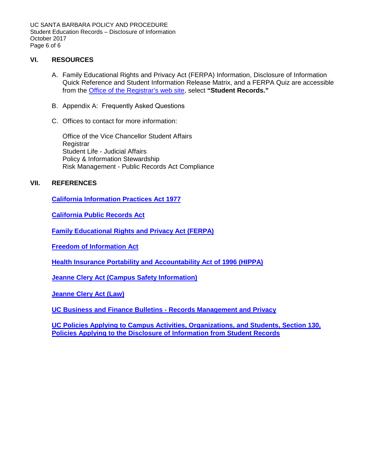UC SANTA BARBARA POLICY AND PROCEDURE Student Education Records – Disclosure of Information October 2017 Page 6 of 6

# **VI. RESOURCES**

- A. Family Educational Rights and Privacy Act (FERPA) Information, Disclosure of Information Quick Reference and Student Information Release Matrix, and a FERPA Quiz are accessible from the [Office of the Registrar's web site,](http://www.registrar.ucsb.edu/) select **"Student Records."**
- B. Appendix A: Frequently Asked Questions
- C. Offices to contact for more information:

Office of the Vice Chancellor Student Affairs Registrar Student Life - Judicial Affairs Policy & Information Stewardship Risk Management - Public Records Act Compliance

# **VII. REFERENCES**

**[California Information Practices Act 1977](http://www.privacy.ca.gov/code/ipa.htm)**

**[California Public Records Act](http://ag.ca.gov/publications/public_records_act.pdf)**

**[Family Educational Rights and Privacy Act \(FERPA\)](http://www.ed.gov/policy/gen/guid/fpco/ferpa/index.html?exp=0)**

**[Freedom of Information Act](http://www.usdoj.gov/04foia/04_3.html)**

**[Health Insurance Portability and Accountability Act of 1996 \(HIPPA\)](http://www.hhs.gov/ocr/hipaa/)**

**[Jeanne Clery Act \(Campus Safety Information\)](http://www.sa.ucsb.edu/policies/CleryAct/)**

**[Jeanne Clery Act \(Law\)](http://www.leginfo.ca.gov/)**

**UC Business and Finance [Bulletins - Records Management and Privacy](http://www.ucop.edu/ucophome/policies/bfb/bfbrmp.html)**

**[UC Policies Applying to Campus Activities, Organizations, and Students, Section 130,](http://www.ucop.edu/ucophome/coordrev/ucpolicies/aos/toc130.html) [Policies Applying to the Disclosure of Information from Student Records](http://www.ucop.edu/ucophome/coordrev/ucpolicies/aos/toc130.html)**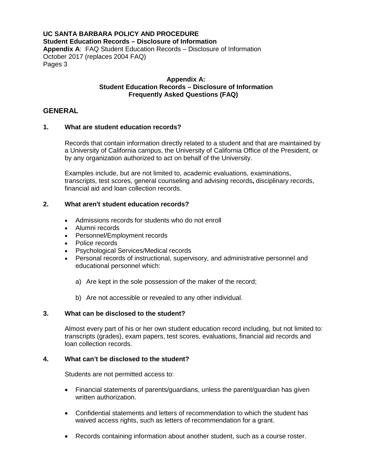### **UC SANTA BARBARA POLICY AND PROCEDURE Student Education Records – Disclosure of Information Appendix A**: FAQ Student Education Records – Disclosure of Information October 2017 (replaces 2004 FAQ) Pages 3

#### **Appendix A: Student Education Records – Disclosure of Information Frequently Asked Questions (FAQ)**

# **GENERAL**

### **1. What are student education records?**

Records that contain information directly related to a student and that are maintained by a University of California campus, the University of California Office of the President, or by any organization authorized to act on behalf of the University.

Examples include, but are not limited to, academic evaluations, examinations, transcripts, test scores, general counseling and advising records**,** disciplinary records, financial aid and loan collection records.

### **2. What aren't student education records?**

- Admissions records for students who do not enroll
- Alumni records
- Personnel/Employment records
- Police records
- Psychological Services/Medical records
- Personal records of instructional, supervisory, and administrative personnel and educational personnel which:
	- a) Are kept in the sole possession of the maker of the record;
	- b) Are not accessible or revealed to any other individual.

#### **3. What can be disclosed to the student?**

Almost every part of his or her own student education record including, but not limited to: transcripts (grades), exam papers, test scores, evaluations, financial aid records and loan collection records.

#### **4. What can't be disclosed to the student?**

Students are not permitted access to:

- Financial statements of parents/guardians, unless the parent/guardian has given written authorization.
- Confidential statements and letters of recommendation to which the student has waived access rights, such as letters of recommendation for a grant.
- Records containing information about another student, such as a course roster.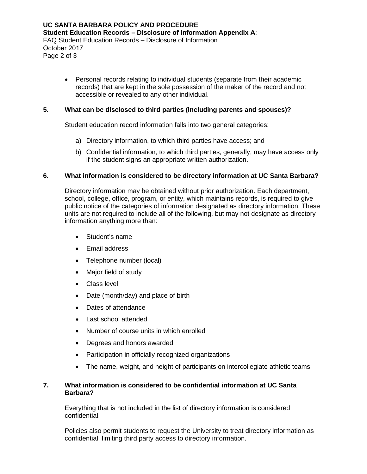• Personal records relating to individual students (separate from their academic records) that are kept in the sole possession of the maker of the record and not accessible or revealed to any other individual.

### **5. What can be disclosed to third parties (including parents and spouses)?**

Student education record information falls into two general categories:

- a) Directory information, to which third parties have access; and
- b) Confidential information, to which third parties, generally, may have access only if the student signs an appropriate written authorization.

### **6. What information is considered to be directory information at UC Santa Barbara?**

Directory information may be obtained without prior authorization. Each department, school, college, office, program, or entity, which maintains records, is required to give public notice of the categories of information designated as directory information. These units are not required to include all of the following, but may not designate as directory information anything more than:

- Student's name
- Email address
- Telephone number (local)
- Major field of study
- Class level
- Date (month/day) and place of birth
- Dates of attendance
- Last school attended
- Number of course units in which enrolled
- Degrees and honors awarded
- Participation in officially recognized organizations
- The name, weight, and height of participants on intercollegiate athletic teams

### **7. What information is considered to be confidential information at UC Santa Barbara?**

Everything that is not included in the list of directory information is considered confidential.

Policies also permit students to request the University to treat directory information as confidential, limiting third party access to directory information.